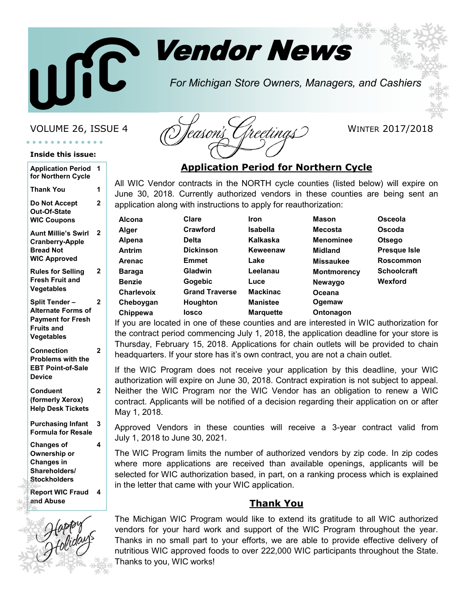

# Vendor News

*For Michigan Store Owners, Managers, and Cashiers*

#### **Inside this issue:**

| <b>Application Period</b><br>for Northern Cycle                                                            | 1              |  |
|------------------------------------------------------------------------------------------------------------|----------------|--|
| <b>Thank You</b>                                                                                           | 1              |  |
| Do Not Accept<br>Out-Of-State<br><b>WIC Coupons</b>                                                        | $\overline{2}$ |  |
| <b>Aunt Millie's Swirl</b><br><b>Cranberry-Apple</b><br><b>Bread Not</b><br><b>WIC Approved</b>            | 2              |  |
| <b>Rules for Selling</b><br><b>Fresh Fruit and</b><br>Vegetables                                           | 2              |  |
| Split Tender -<br><b>Alternate Forms of</b><br><b>Payment for Fresh</b><br><b>Fruits and</b><br>Vegetables | 2              |  |
| <b>Connection</b><br>Problems with the<br><b>EBT Point-of-Sale</b><br><b>Device</b>                        | 2              |  |
| <b>Conduent</b><br>(formerly Xerox)<br><b>Help Desk Tickets</b>                                            | 2              |  |
| <b>Purchasing Infant</b><br><b>Formula for Resale</b>                                                      | 3              |  |
| <b>Changes of</b><br>Ownership or<br><b>Changes in</b><br>Shareholders/<br><b>Stockholders</b>             | 4              |  |
| <b>Report WIC Fraud</b><br>and Abuse                                                                       | 4              |  |



### **Application Period for Northern Cycle**

All WIC Vendor contracts in the NORTH cycle counties (listed below) will expire on June 30, 2018. Currently authorized vendors in these counties are being sent an application along with instructions to apply for reauthorization:

| Alcona            | Clare                 | Iron             | <b>Mason</b>       | Osceola             |
|-------------------|-----------------------|------------------|--------------------|---------------------|
| Alger             | Crawford              | <b>Isabella</b>  | <b>Mecosta</b>     | Oscoda              |
| Alpena            | <b>Delta</b>          | Kalkaska         | <b>Menominee</b>   | <b>Otsego</b>       |
| <b>Antrim</b>     | <b>Dickinson</b>      | Keweenaw         | <b>Midland</b>     | <b>Presque Isle</b> |
| <b>Arenac</b>     | <b>Emmet</b>          | Lake             | <b>Missaukee</b>   | <b>Roscommon</b>    |
| <b>Baraga</b>     | <b>Gladwin</b>        | Leelanau         | <b>Montmorency</b> | <b>Schoolcraft</b>  |
| <b>Benzie</b>     | <b>Gogebic</b>        | Luce             | Newaygo            | <b>Wexford</b>      |
| <b>Charlevoix</b> | <b>Grand Traverse</b> | <b>Mackinac</b>  | Oceana             |                     |
| Cheboygan         | <b>Houghton</b>       | <b>Manistee</b>  | Ogemaw             |                     |
| Chippewa          | losco                 | <b>Marquette</b> | Ontonagon          |                     |

If you are located in one of these counties and are interested in WIC authorization for the contract period commencing July 1, 2018, the application deadline for your store is Thursday, February 15, 2018. Applications for chain outlets will be provided to chain headquarters. If your store has it's own contract, you are not a chain outlet.

If the WIC Program does not receive your application by this deadline, your WIC authorization will expire on June 30, 2018. Contract expiration is not subject to appeal. Neither the WIC Program nor the WIC Vendor has an obligation to renew a WIC contract. Applicants will be notified of a decision regarding their application on or after May 1, 2018.

Approved Vendors in these counties will receive a 3-year contract valid from July 1, 2018 to June 30, 2021.

The WIC Program limits the number of authorized vendors by zip code. In zip codes where more applications are received than available openings, applicants will be selected for WIC authorization based, in part, on a ranking process which is explained in the letter that came with your WIC application.

#### **Thank You**

The Michigan WIC Program would like to extend its gratitude to all WIC authorized vendors for your hard work and support of the WIC Program throughout the year. Thanks in no small part to your efforts, we are able to provide effective delivery of nutritious WIC approved foods to over 222,000 WIC participants throughout the State. Thanks to you, WIC works!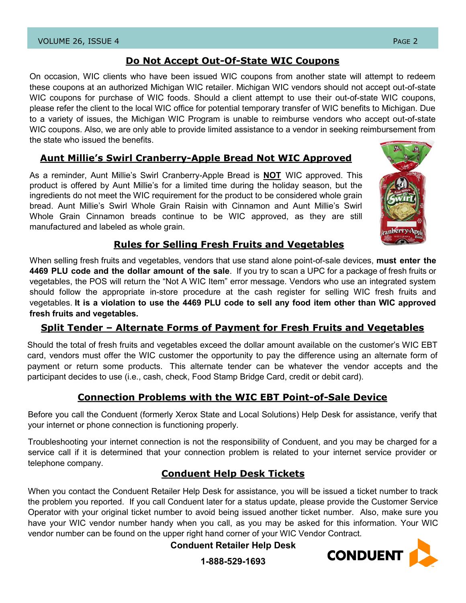#### **Do Not Accept Out-Of-State WIC Coupons**

On occasion, WIC clients who have been issued WIC coupons from another state will attempt to redeem these coupons at an authorized Michigan WIC retailer. Michigan WIC vendors should not accept out-of-state WIC coupons for purchase of WIC foods. Should a client attempt to use their out-of-state WIC coupons, please refer the client to the local WIC office for potential temporary transfer of WIC benefits to Michigan. Due to a variety of issues, the Michigan WIC Program is unable to reimburse vendors who accept out-of-state WIC coupons. Also, we are only able to provide limited assistance to a vendor in seeking reimbursement from the state who issued the benefits.

### **Aunt Millie's Swirl Cranberry-Apple Bread Not WIC Approved**

As a reminder, Aunt Millie's Swirl Cranberry-Apple Bread is **NOT** WIC approved. This product is offered by Aunt Millie's for a limited time during the holiday season, but the ingredients do not meet the WIC requirement for the product to be considered whole grain bread. Aunt Millie's Swirl Whole Grain Raisin with Cinnamon and Aunt Millie's Swirl Whole Grain Cinnamon breads continue to be WIC approved, as they are still manufactured and labeled as whole grain.



#### **Rules for Selling Fresh Fruits and Vegetables**

When selling fresh fruits and vegetables, vendors that use stand alone point-of-sale devices, **must enter the 4469 PLU code and the dollar amount of the sale**. If you try to scan a UPC for a package of fresh fruits or vegetables, the POS will return the "Not A WIC Item" error message. Vendors who use an integrated system should follow the appropriate in-store procedure at the cash register for selling WIC fresh fruits and vegetables. **It is a violation to use the 4469 PLU code to sell any food item other than WIC approved fresh fruits and vegetables.** 

### **Split Tender – Alternate Forms of Payment for Fresh Fruits and Vegetables**

Should the total of fresh fruits and vegetables exceed the dollar amount available on the customer's WIC EBT card, vendors must offer the WIC customer the opportunity to pay the difference using an alternate form of payment or return some products. This alternate tender can be whatever the vendor accepts and the participant decides to use (i.e., cash, check, Food Stamp Bridge Card, credit or debit card).

### **Connection Problems with the WIC EBT Point-of-Sale Device**

Before you call the Conduent (formerly Xerox State and Local Solutions) Help Desk for assistance, verify that your internet or phone connection is functioning properly.

Troubleshooting your internet connection is not the responsibility of Conduent, and you may be charged for a service call if it is determined that your connection problem is related to your internet service provider or telephone company.

## **Conduent Help Desk Tickets**

When you contact the Conduent Retailer Help Desk for assistance, you will be issued a ticket number to track the problem you reported. If you call Conduent later for a status update, please provide the Customer Service Operator with your original ticket number to avoid being issued another ticket number. Also, make sure you have your WIC vendor number handy when you call, as you may be asked for this information. Your WIC vendor number can be found on the upper right hand corner of your WIC Vendor Contract.

**Conduent Retailer Help Desk**



**1-888-529-1693**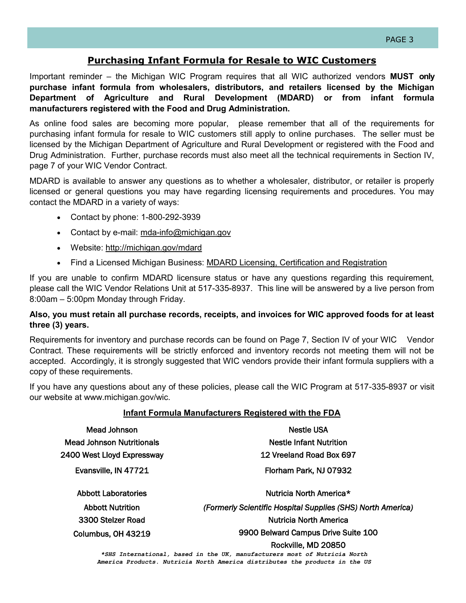### **Purchasing Infant Formula for Resale to WIC Customers**

Important reminder – the Michigan WIC Program requires that all WIC authorized vendors **MUST only purchase infant formula from wholesalers, distributors, and retailers licensed by the Michigan Department of Agriculture and Rural Development (MDARD) or from infant formula manufacturers registered with the Food and Drug Administration.**

As online food sales are becoming more popular, please remember that all of the requirements for purchasing infant formula for resale to WIC customers still apply to online purchases. The seller must be licensed by the Michigan Department of Agriculture and Rural Development or registered with the Food and Drug Administration. Further, purchase records must also meet all the technical requirements in Section IV, page 7 of your WIC Vendor Contract.

MDARD is available to answer any questions as to whether a wholesaler, distributor, or retailer is properly licensed or general questions you may have regarding licensing requirements and procedures. You may contact the MDARD in a variety of ways:

- Contact by phone: 1-800-292-3939
- Contact by e-mail: mda-[info@michigan.gov](mailto:mda-info@michigan.gov)
- Website: <http://michigan.gov/mdard>
- Find a Licensed Michigan Business: [MDARD Licensing, Certification and Registration](http://www.michigan.gov/mdard/0,4610,7-125-1569_2459---,00.html)

If you are unable to confirm MDARD licensure status or have any questions regarding this requirement, please call the WIC Vendor Relations Unit at 517-335-8937. This line will be answered by a live person from 8:00am – 5:00pm Monday through Friday.

#### **Also, you must retain all purchase records, receipts, and invoices for WIC approved foods for at least three (3) years.**

Requirements for inventory and purchase records can be found on Page 7, Section IV of your WIC Vendor Contract. These requirements will be strictly enforced and inventory records not meeting them will not be accepted. Accordingly, it is strongly suggested that WIC vendors provide their infant formula suppliers with a copy of these requirements.

If you have any questions about any of these policies, please call the WIC Program at 517-335-8937 or visit our website at www.michigan.gov/wic.

#### **Infant Formula Manufacturers Registered with the FDA**

| Mead Johnson                     | Nestle USA                                                                                       |  |  |
|----------------------------------|--------------------------------------------------------------------------------------------------|--|--|
| <b>Mead Johnson Nutritionals</b> | <b>Nestle Infant Nutrition</b>                                                                   |  |  |
| 2400 West Lloyd Expressway       | 12 Vreeland Road Box 697                                                                         |  |  |
| Evansville, IN 47721             | Florham Park, NJ 07932                                                                           |  |  |
| <b>Abbott Laboratories</b>       | Nutricia North America*                                                                          |  |  |
| <b>Abbott Nutrition</b>          | (Formerly Scientific Hospital Supplies (SHS) North America)                                      |  |  |
| 3300 Stelzer Road                | <b>Nutricia North America</b>                                                                    |  |  |
| Columbus, OH 43219               | 9900 Belward Campus Drive Suite 100                                                              |  |  |
|                                  | Rockville, MD 20850<br>*SHS International, based in the UK, manufacturers most of Nutricia North |  |  |

*\*SHS International, based in the UK, manufacturers most of Nutricia North America Products. Nutricia North America distributes the products in the US*